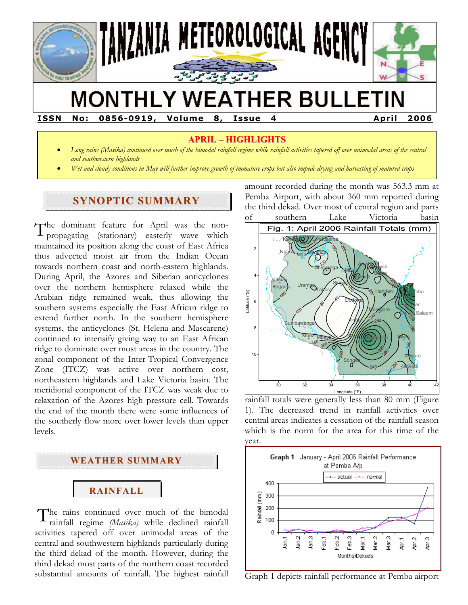

# **MONTHLY WEATHER BULLETIN**

**ISSN No: 0856-0919, Volume 8, Issue 4 April 2006** 

# **APRIL – HIGHLIGHTS**

- *Long rains (Masika) continued over much of the bimodal rainfall regime while rainfall activities tapered off over unimodal areas of the central and southwestern highlands*
- *Wet and cloudy conditions in May will further improve growth of immature crops but also impede drying and harvesting of matured crops*

# **SYNOPTIC SUMMARY**

The dominant feature for April was the non-<br>propagating (stationary) easterly wave which propagating (stationary) easterly wave which maintained its position along the coast of East Africa thus advected moist air from the Indian Ocean towards northern coast and north-eastern highlands. During April, the Azores and Siberian anticyclones over the northern hemisphere relaxed while the Arabian ridge remained weak, thus allowing the southern systems especially the East African ridge to extend further north. In the southern hemisphere systems, the anticyclones (St. Helena and Mascarene) continued to intensify giving way to an East African ridge to dominate over most areas in the country. The zonal component of the Inter-Tropical Convergence Zone (ITCZ) was active over northern cost, northeastern highlands and Lake Victoria basin. The meridional component of the ITCZ was weak due to relaxation of the Azores high pressure cell. Towards the end of the month there were some influences of the southerly flow more over lower levels than upper levels.



The rains continued over much of the bimodal rainfall regime  $(Masika)$  while declined rainfall rainfall regime *(Masika)* while declined rainfall activities tapered off over unimodal areas of the central and southwestern highlands particularly during the third dekad of the month. However, during the third dekad most parts of the northern coast recorded substantial amounts of rainfall. The highest rainfall

amount recorded during the month was 563.3 mm at Pemba Airport, with about 360 mm reported during the third dekad. Over most of central region and parts of southern Lake Victoria basin



rainfall totals were generally less than 80 mm (Figure 1). The decreased trend in rainfall activities over central areas indicates a cessation of the rainfall season which is the norm for the area for this time of the year.



Graph 1 depicts rainfall performance at Pemba airport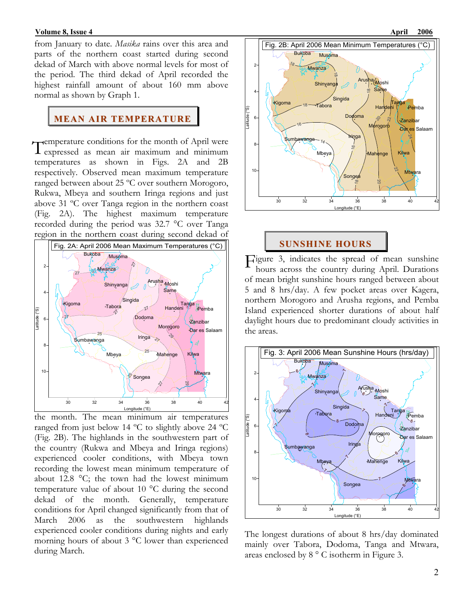from January to date. *Masika* rains over this area and parts of the northern coast started during second dekad of March with above normal levels for most of the period. The third dekad of April recorded the highest rainfall amount of about 160 mm above normal as shown by Graph 1.

#### **MEAN AIR TEMPERATURE**

Temperature conditions for the month of April were<br>Texpressed as mean air maximum and minimum expressed as mean air maximum and minimum temperatures as shown in Figs. 2A and 2B respectively. Observed mean maximum temperature ranged between about 25 ºC over southern Morogoro, Rukwa, Mbeya and southern Iringa regions and just above 31 ºC over Tanga region in the northern coast (Fig. 2A). The highest maximum temperature recorded during the period was 32.7 °C over Tanga region in the northern coast during second dekad of



the month. The mean minimum air temperatures ranged from just below 14 ºC to slightly above 24 ºC (Fig. 2B). The highlands in the southwestern part of the country (Rukwa and Mbeya and Iringa regions) experienced cooler conditions, with Mbeya town recording the lowest mean minimum temperature of about 12.8 °C; the town had the lowest minimum temperature value of about 10 °C during the second dekad of the month. Generally, temperature conditions for April changed significantly from that of March 2006 as the southwestern highlands experienced cooler conditions during nights and early morning hours of about 3 °C lower than experienced during March.



#### **SUNSHINE HOURS**

Figure 3, indicates the spread of mean sunshine<br>hours across the country during April. Durations hours across the country during April. Durations of mean bright sunshine hours ranged between about 5 and 8 hrs/day. A few pocket areas over Kagera, northern Morogoro and Arusha regions, and Pemba Island experienced shorter durations of about half daylight hours due to predominant cloudy activities in the areas.



The longest durations of about 8 hrs/day dominated mainly over Tabora, Dodoma, Tanga and Mtwara, areas enclosed by 8 ° C isotherm in Figure 3.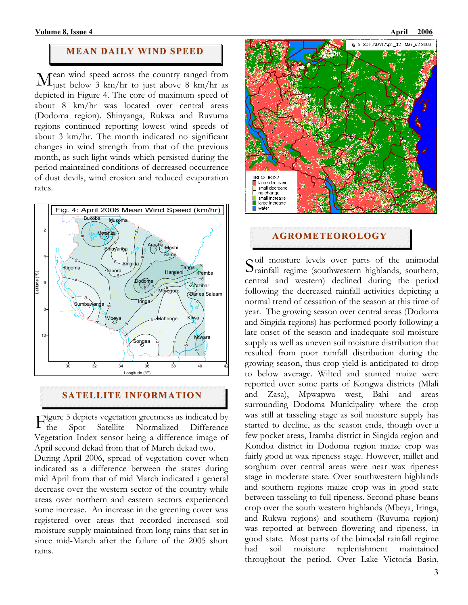#### **MEAN DAILY WIND SPEED**

ean wind speed across the country ranged from  $\rm M$ <sub>just</sub> below 3 km/hr to just above 8 km/hr as depicted in Figure 4. The core of maximum speed of about 8 km/hr was located over central areas (Dodoma region). Shinyanga, Rukwa and Ruvuma regions continued reporting lowest wind speeds of about 3 km/hr. The month indicated no significant changes in wind strength from that of the previous month, as such light winds which persisted during the period maintained conditions of decreased occurrence of dust devils, wind erosion and reduced evaporation rates.



## **SATELLITE INFORMATION**

igure 5 depicts vegetation greenness as indicated by Spot Satellite Normalized Difference Vegetation Index sensor being a difference image of April second dekad from that of March dekad two.  $F_{the}^{\circ}$ 

During April 2006, spread of vegetation cover when indicated as a difference between the states during mid April from that of mid March indicated a general decrease over the western sector of the country while areas over northern and eastern sectors experienced some increase. An increase in the greening cover was registered over areas that recorded increased soil moisture supply maintained from long rains that set in since mid-March after the failure of the 2005 short rains.



#### **AGROMETEOROLOGY**

oil moisture levels over parts of the unimodal Soil moisture levels over parts of the unimodal rainfall regime (southwestern highlands, southern, central and western) declined during the period following the decreased rainfall activities depicting a normal trend of cessation of the season at this time of year. The growing season over central areas (Dodoma and Singida regions) has performed poorly following a late onset of the season and inadequate soil moisture supply as well as uneven soil moisture distribution that resulted from poor rainfall distribution during the growing season, thus crop yield is anticipated to drop to below average. Wilted and stunted maize were reported over some parts of Kongwa districts (Mlali and Zasa), Mpwapwa west, Bahi and areas surrounding Dodoma Municipality where the crop was still at tasseling stage as soil moisture supply has started to decline, as the season ends, though over a few pocket areas, Iramba district in Singida region and Kondoa district in Dodoma region maize crop was fairly good at wax ripeness stage. However, millet and sorghum over central areas were near wax ripeness stage in moderate state. Over southwestern highlands and southern regions maize crop was in good state between tasseling to full ripeness. Second phase beans crop over the south western highlands (Mbeya, Iringa, and Rukwa regions) and southern (Ruvuma region) was reported at between flowering and ripeness, in good state. Most parts of the bimodal rainfall regime had soil moisture replenishment maintained throughout the period. Over Lake Victoria Basin,